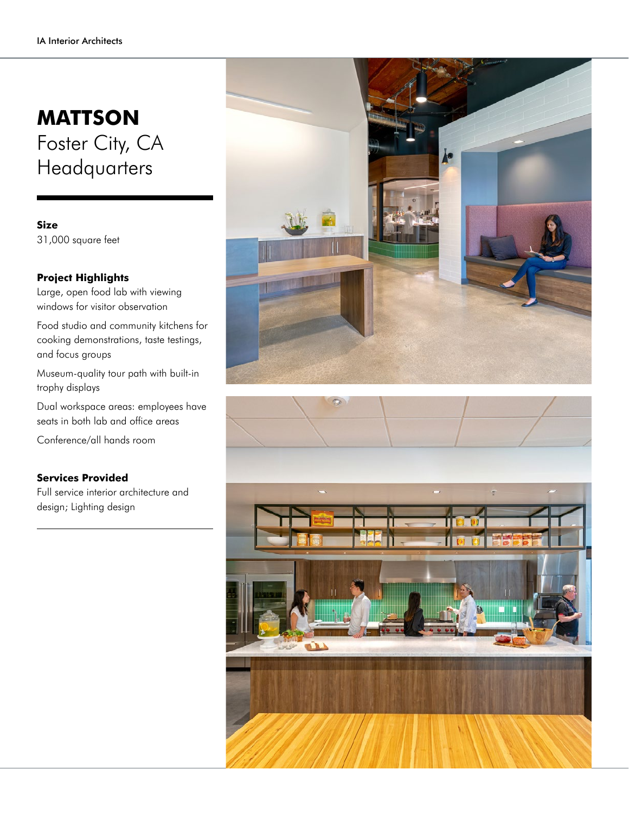## **MATTSON** Foster City, CA **Headquarters**

**Size** 31,000 square feet

## **Project Highlights**

Large, open food lab with viewing windows for visitor observation

Food studio and community kitchens for cooking demonstrations, taste testings, and focus groups

Museum-quality tour path with built-in trophy displays

Dual workspace areas: employees have seats in both lab and office areas

Conference/all hands room

## **Services Provided**

Full service interior architecture and design; Lighting design